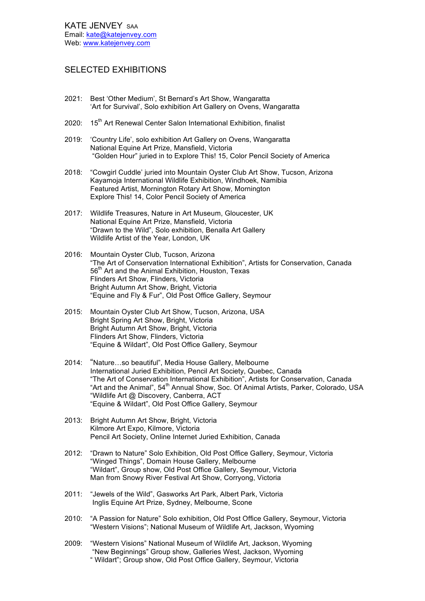## SELECTED EXHIBITIONS

- 2021: Best 'Other Medium', St Bernard's Art Show, Wangaratta 'Art for Survival', Solo exhibition Art Gallery on Ovens, Wangaratta
- 2020: 15<sup>th</sup> Art Renewal Center Salon International Exhibition, finalist
- 2019: 'Country Life', solo exhibition Art Gallery on Ovens, Wangaratta National Equine Art Prize, Mansfield, Victoria "Golden Hour" juried in to Explore This! 15, Color Pencil Society of America
- 2018: "Cowgirl Cuddle' juried into Mountain Oyster Club Art Show, Tucson, Arizona Kayamoja International Wildlife Exhibition, Windhoek, Namibia Featured Artist, Mornington Rotary Art Show, Mornington Explore This! 14, Color Pencil Society of America
- 2017: Wildlife Treasures, Nature in Art Museum, Gloucester, UK National Equine Art Prize, Mansfield, Victoria "Drawn to the Wild", Solo exhibition, Benalla Art Gallery Wildlife Artist of the Year, London, UK
- 2016: Mountain Oyster Club, Tucson, Arizona "The Art of Conservation International Exhibition", Artists for Conservation, Canada 56<sup>th</sup> Art and the Animal Exhibition, Houston, Texas Flinders Art Show, Flinders, Victoria Bright Autumn Art Show, Bright, Victoria "Equine and Fly & Fur", Old Post Office Gallery, Seymour
- 2015: Mountain Oyster Club Art Show, Tucson, Arizona, USA Bright Spring Art Show, Bright, Victoria Bright Autumn Art Show, Bright, Victoria Flinders Art Show, Flinders, Victoria "Equine & Wildart", Old Post Office Gallery, Seymour
- 2014: "Nature…so beautiful", Media House Gallery, Melbourne International Juried Exhibition, Pencil Art Society, Quebec, Canada "The Art of Conservation International Exhibition", Artists for Conservation, Canada "Art and the Animal", 54<sup>th</sup> Annual Show, Soc. Of Animal Artists, Parker, Colorado, USA "Wildlife Art @ Discovery, Canberra, ACT "Equine & Wildart", Old Post Office Gallery, Seymour
- 2013: Bright Autumn Art Show, Bright, Victoria Kilmore Art Expo, Kilmore, Victoria Pencil Art Society, Online Internet Juried Exhibition, Canada
- 2012: "Drawn to Nature" Solo Exhibition, Old Post Office Gallery, Seymour, Victoria "Winged Things", Domain House Gallery, Melbourne "Wildart", Group show, Old Post Office Gallery, Seymour, Victoria Man from Snowy River Festival Art Show, Corryong, Victoria
- 2011: "Jewels of the Wild", Gasworks Art Park, Albert Park, Victoria Inglis Equine Art Prize, Sydney, Melbourne, Scone
- 2010: "A Passion for Nature" Solo exhibition, Old Post Office Gallery, Seymour, Victoria "Western Visions"; National Museum of Wildlife Art, Jackson, Wyoming
- 2009: "Western Visions" National Museum of Wildlife Art, Jackson, Wyoming "New Beginnings" Group show, Galleries West, Jackson, Wyoming " Wildart"; Group show, Old Post Office Gallery, Seymour, Victoria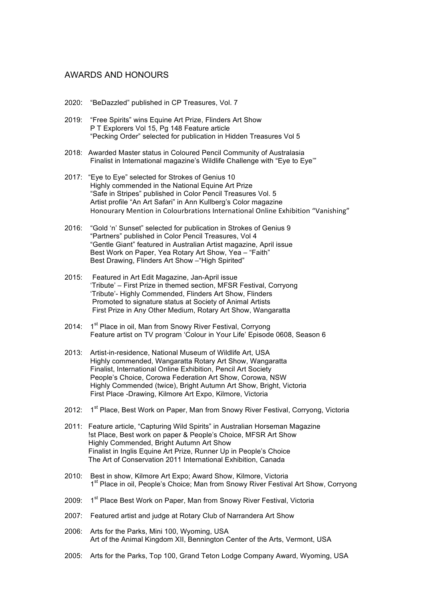#### AWARDS AND HONOURS

- 2020: "BeDazzled" published in CP Treasures, Vol. 7
- 2019: "Free Spirits" wins Equine Art Prize, Flinders Art Show P T Explorers Vol 15, Pg 148 Feature article "Pecking Order" selected for publication in Hidden Treasures Vol 5
- 2018: Awarded Master status in Coloured Pencil Community of Australasia Finalist in International magazine's Wildlife Challenge with "Eye to Eye'"
- 2017: "Eye to Eye" selected for Strokes of Genius 10 Highly commended in the National Equine Art Prize "Safe in Stripes" published in Color Pencil Treasures Vol. 5 Artist profile "An Art Safari" in Ann Kullberg's Color magazine Honourary Mention in Colourbrations International Online Exhibition "Vanishing"
- 2016: "Gold 'n' Sunset" selected for publication in Strokes of Genius 9 "Partners" published in Color Pencil Treasures, Vol 4 "Gentle Giant" featured in Australian Artist magazine, April issue Best Work on Paper, Yea Rotary Art Show, Yea – "Faith" Best Drawing, Flinders Art Show –"High Spirited"
- 2015: Featured in Art Edit Magazine, Jan-April issue 'Tribute' – First Prize in themed section, MFSR Festival, Corryong 'Tribute'- Highly Commended, Flinders Art Show, Flinders Promoted to signature status at Society of Animal Artists First Prize in Any Other Medium, Rotary Art Show, Wangaratta
- 2014: 1<sup>st</sup> Place in oil, Man from Snowy River Festival, Corryong Feature artist on TV program 'Colour in Your Life' Episode 0608, Season 6
- 2013: Artist-in-residence, National Museum of Wildlife Art, USA Highly commended, Wangaratta Rotary Art Show, Wangaratta Finalist, International Online Exhibition, Pencil Art Society People's Choice, Corowa Federation Art Show, Corowa, NSW Highly Commended (twice), Bright Autumn Art Show, Bright, Victoria First Place -Drawing, Kilmore Art Expo, Kilmore, Victoria
- 2012: 1<sup>st</sup> Place, Best Work on Paper, Man from Snowy River Festival, Corryong, Victoria
- 2011: Feature article, "Capturing Wild Spirits" in Australian Horseman Magazine !st Place, Best work on paper & People's Choice, MFSR Art Show Highly Commended, Bright Autumn Art Show Finalist in Inglis Equine Art Prize, Runner Up in People's Choice The Art of Conservation 2011 International Exhibition, Canada
- 2010: Best in show, Kilmore Art Expo; Award Show, Kilmore, Victoria 1<sup>st</sup> Place in oil, People's Choice: Man from Snowy River Festival Art Show, Corryong
- 2009: 1<sup>st</sup> Place Best Work on Paper, Man from Snowy River Festival, Victoria
- 2007: Featured artist and judge at Rotary Club of Narrandera Art Show
- 2006: Arts for the Parks, Mini 100, Wyoming, USA Art of the Animal Kingdom XII, Bennington Center of the Arts, Vermont, USA
- 2005: Arts for the Parks, Top 100, Grand Teton Lodge Company Award, Wyoming, USA